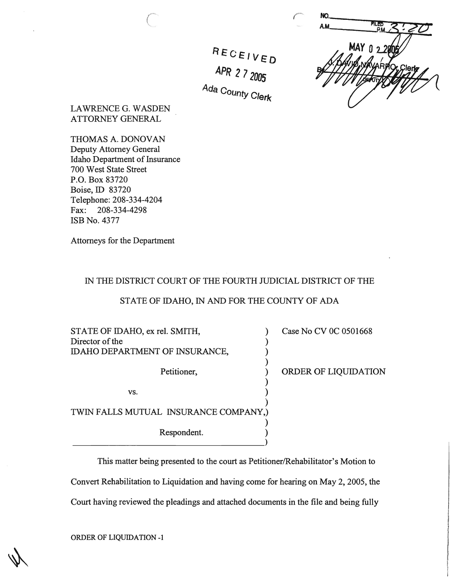**NO**  $MAY$   $0.29$ 

LAWRENCE G. WASDEN ATTORNEY GENERAL

THOMAS A. DONOVAN Deputy Attorney General Idaho Department of Insurance 700 West State Street P.O. Box 83720 Boise, ID 83720 Telephone: 208-334-4204 Fax: 208-334-4298 ISB No. 4377

Attorneys for the Department

## IN THE DISTRICT COURT OF THE FOURTH JUDICIAL DISTRICT OF THE

RECEIVED

**APR 272005** 

<sup>rua County Clerk</sub></sup>

### STATE OF IDAHO, IN AND FOR THE COUNTY OF ADA

STATE OF IDAHO, ex rel. SMITH,  $\qquad \qquad$  (ase No CV 0C 0501668) Director of the IDAHO DEPARTMENT OF INSURANCE, ) Petitioner,  $\qquad \qquad$  ORDER OF LIQUIDATION )  $\mathsf{vs.} \quad \mathsf{)}$ ) TWIN FALLS MUTUAL INSURANCE COMPANY,) ) Respondent. ) -----------------------------------)

This matter being presented to the court as Petitioner/Rehabilitator's Motion to Convert Rehabilitation to Liquidation and having come for hearing on May 2, 2005, the Court having reviewed the pleadings and attached documents in the file and being fully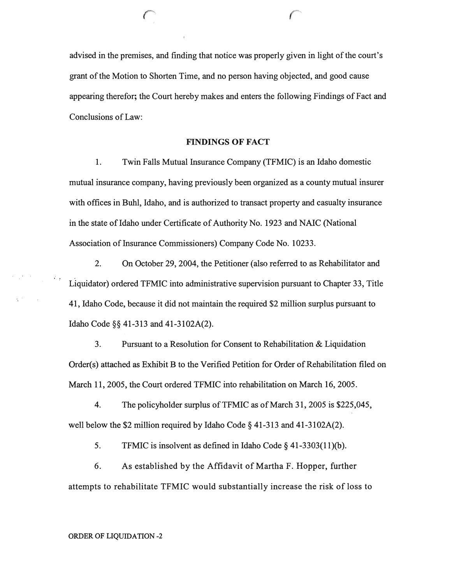advised in the premises, and finding that notice was properly given in light of the court's grant of the Motion to Shorten Time, and no person having objected, and good cause appearing therefor; the Court hereby makes and enters the following Findings of Fact and Conclusions of Law:

r

#### **FINDINGS** OF FACT

1. Twin Falls Mutual Insurance Company (TFMIC) is an Idaho domestic mutual insurance company, having previously been organized as a county mutual insurer with offices in Buhl, Idaho, and is authorized to transact property and casualty insurance in the state of Idaho under Certificate of Authority No. 1923 and NAIC (National Association of Insurance Commissioners) Company Code No. 10233.

2. On October 29,2004, the Petitioner (also referred to as Rehabilitator and Liquidator) ordered TFMIC into administrative supervision pursuant to Chapter 33, Title 41, Idaho Code, because it did not maintain the required \$2 million surplus pursuant to Idaho Code §§ 41-313 and 41-3102A(2).

3. Pursuant to a Resolution for Consent to Rehabilitation & Liquidation Order(s) attached as Exhibit B to the Verified Petition for Order of Rehabilitation filed on March 11,2005, the Court ordered TFMIC into rehabilitation on March 16, 2005.

4. The policyholder surplus of TFMIC as of March 31, 2005 is \$225,045, well below the \$2 million required by Idaho Code § 41-313 and 41-3102A(2).

5. TFMIC is insolvent as defined in Idaho Code § 41-3303(11)(b).

6. As established by the Affidavit of Martha F. Hopper, further attempts to rehabilitate TFMIC would substantially increase the risk of loss to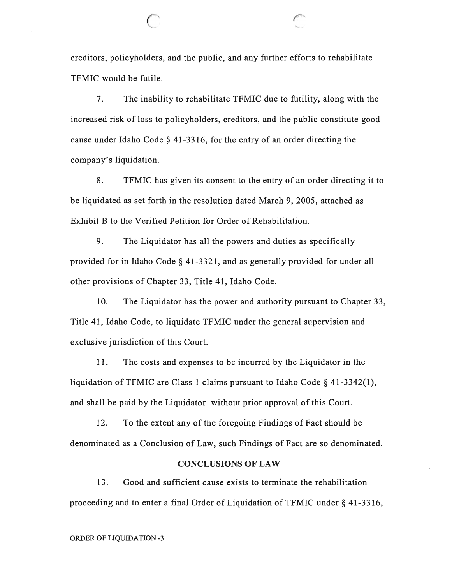creditors, policyholders, and the public, and any further efforts to rehabilitate TFMIC would be futile.

 $\curvearrowright$ 

7. The inability to rehabilitate TFMIC due to futility, along with the increased risk of loss to policyholders, creditors, and the public constitute good cause under Idaho Code § 41-3316, for the entry of an order directing the company's liquidation.

8. TFMIC has given its consent to the entry of an order directing it to be liquidated as set forth in the resolution dated March 9, 2005, attached as Exhibit B to the Verified Petition for Order of Rehabilitation.

9. The Liquidator has all the powers and duties as specifically provided for in Idaho Code § 41-3321, and as generally provided for under all other provisions of Chapter 33, Title 41, Idaho Code.

10. The Liquidator has the power and authority pursuant to Chapter 33, Title 41, Idaho Code, to liquidate TFMIC under the general supervision and exclusive jurisdiction of this Court.

11. The costs and expenses to be incurred by the Liquidator in the liquidation of TFMIC are Class 1 claims pursuant to Idaho Code  $\S$  41-3342(1), and shall be paid by the Liquidator without prior approval of this Court.

12. To the extent any of the foregoing Findings of Fact should be denominated as a Conclusion of Law, such Findings of Fact are so denominated.

### **CONCLUSIONS OF LAW**

13. Good and sufficient cause exists to terminate the rehabilitation proceeding and to enter a final Order of Liquidation of TFMIC under  $\S$  41-3316,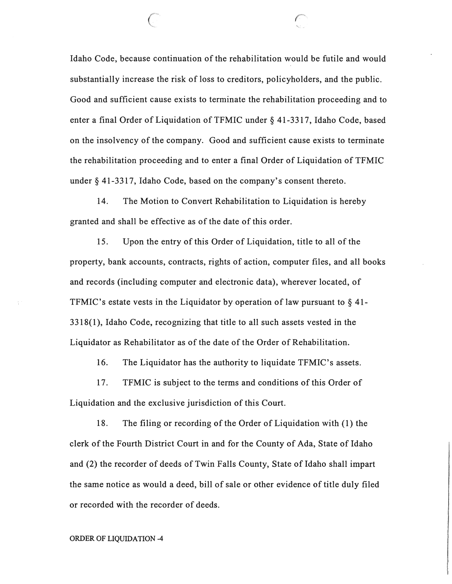Idaho Code, because continuation of the rehabilitation would be futile and would substantially increase the risk of loss to creditors, policyholders, and the public. Good and sufficient cause exists to terminate the rehabilitation proceeding and to enter a final Order of Liquidation of TFMIC under § 41-3317, Idaho Code, based on the insolvency of the company. Good and sufficient cause exists to terminate the rehabilitation proceeding and to enter a final Order of Liquidation of TFMIC under § 41-3317, Idaho Code, based on the company's consent thereto.

*r*  '- -

14. The Motion to Convert Rehabilitation to Liquidation is hereby granted and shall be effective as of the date of this order.

15. Upon the entry of this Order of Liquidation, title to all of the property, bank accounts, contracts, rights of action, computer files, and all books and records (including computer and electronic data), wherever located, of TFMIC's estate vests in the Liquidator by operation of law pursuant to  $\S$  41-3 318( 1), Idaho Code, recognizing that title to all such assets vested in the Liquidator as Rehabilitator as of the date of the Order of Rehabilitation.

16. The Liquidator has the authority to liquidate TFMIC's assets.

17. TFMIC is subject to the terms and conditions of this Order of Liquidation and the exclusive jurisdiction of this Court.

18. The filing or recording of the Order of Liquidation with (1) the clerk of the Fourth District Court in and for the County of Ada, State of Idaho and (2) the recorder of deeds of Twin Falls County, State of Idaho shall impart the same notice as would a deed, bill of sale or other evidence of title duly filed or recorded with the recorder of deeds.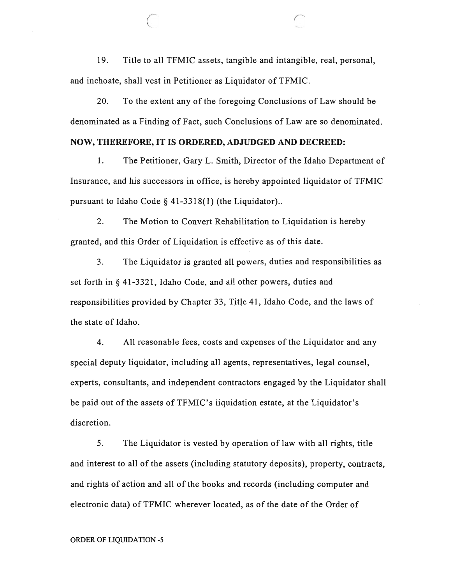19. Title to all TFMIC assets, tangible and intangible, real, personal, and inchoate, shall vest in Petitioner as Liquidator of TFMIC.

20. To the extent any of the foregoing Conclusions of Law should be denominated as a Finding of Fact, such Conclusions of Law are so denominated.

### **NOW, THEREFORE, IT IS ORDERED, ADJUDGED AND DECREED:**

1. The Petitioner, Gary L. Smith, Director of the Idaho Department of Insurance, and his successors in office, is hereby appointed liquidator of TFMIC pursuant to Idaho Code § 41-3318(1) (the Liquidator)..

2. The Motion to Convert Rehabilitation to Liquidation is hereby granted, and this Order of Liquidation is effective as of this date.

3. The Liquidator is granted all powers, duties and responsibilities as set forth in § 41-3321, Idaho Code, and all other powers, duties and responsibilities provided by Chapter 33, Title 41, Idaho Code, and the laws of the state of Idaho.

4. All reasonable fees, costs and expenses of the Liquidator and any special deputy liquidator, including all agents, representatives, legal counsel, experts, consultants, and independent contractors engaged by the Liquidator shall be paid out of the assets of TFMIC's liquidation estate, at the Liquidator's discretion.

S. The Liquidator is vested by operation of law with all rights, title and interest to all of the assets (including statutory deposits), property, contracts, and rights of action and all of the books and records (including computer and electronic data) of TFMIC wherever located, as of the date of the Order of

#### ORDER OF LIQUIDATION -5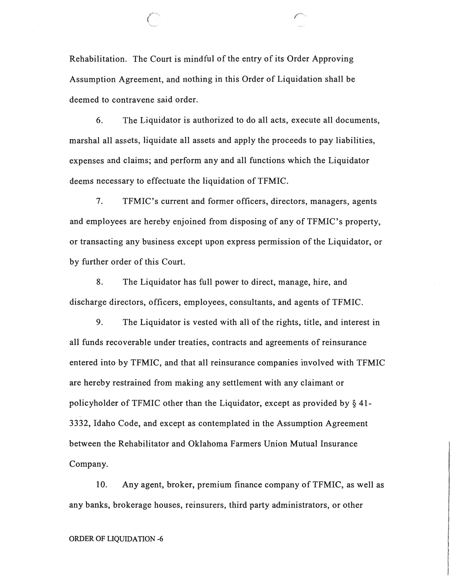Rehabilitation. The Court is mindful of the entry of its Order Approving Assumption Agreement, and nothing in this Order of Liquidation shall be deemed to contravene said order.

6. The Liquidator is authorized to do all acts, execute all documents, marshal all assets, liquidate all assets and apply the proceeds to pay liabilities, expenses and claims; and perform any and all functions which the Liquidator deems necessary to effectuate the liquidation of TFMIC.

7. TFMIC's current and former officers, directors, managers, agents and employees are hereby enjoined from disposing of any of TFMIC's property, or transacting any business except upon express permission of the Liquidator, or by further order of this Court.

8. The Liquidator has full power to direct, manage, hire, and discharge directors, officers, employees, consultants, and agents of TFMIC.

9. The Liquidator is vested with all of the rights, title, and interest in all funds recoverable under treaties, contracts and agreements of reinsurance entered into by TFMIC, and that all reinsurance companies involved with TFMIC are hereby restrained from making any settlement with any claimant or policyholder of TFMIC other than the Liquidator, except as provided by § 41- 3332, Idaho Code, and except as contemplated in the Assumption Agreement between the Rehabilitator and Oklahoma Farmers Union Mutual Insurance Company.

10. Any agent, broker, premium finance company of TFMIC, as well as any banks, brokerage houses, reinsurers, third party administrators, or other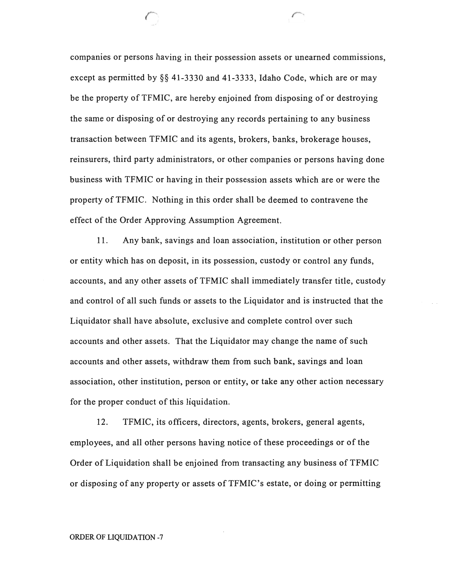companies or persons having in their possession assets or unearned commissions, except as permitted by §§ 41-3330 and 41-3333, Idaho Code, which are or may be the property of TFMIC, are hereby enjoined from disposing of or destroying the same or disposing of or destroying any records pertaining to any business transaction between TFMIC and its agents, brokers, banks, brokerage houses, reinsurers, third party administrators, or other companies or persons having done business with TFMIC or having in their possession assets which are or were the property of TFMIC. Nothing in this order shall be deemed to contravene the effect of the Order Approving Assumption Agreement.

r

11. Any bank, savings and loan association, institution or other person or entity which has on deposit, in its possession, custody or control any funds, accounts, and any other assets of TFMIC shall immediately transfer title, custody and control of all such funds or assets to the Liquidator and is instructed that the Liquidator shall have absolute, exclusive and complete control over such accounts and other assets. That the Liquidator may change the name of such accounts and other assets, withdraw them from such bank, savings and loan association, other institution, person or entity, or take any other action necessary for the proper conduct of this liquidation.

12. TFMIC, its officers, directors, agents, brokers, general agents, employees, and all other persons having notice of these proceedings or of the Order of Liquidation shall be enjoined from transacting any business of TFMIC or disposing of any property or assets of TFMIC's estate, or doing or permitting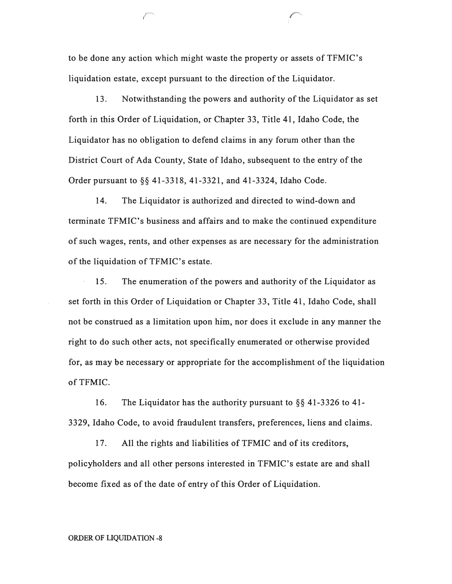to be done any action which might waste the property or assets of TFMIC's liquidation estate, except pursuant to the direction of the Liquidator.

*r-*

13. Notwithstanding the powers and authority of the Liquidator as set forth in this Order of Liquidation, or Chapter 33, Title 41, Idaho Code, the Liquidator has no obligation to defend claims in any forum other than the District Court of Ada County, State of Idaho, subsequent to the entry of the Order pursuant to §§ 41-3318, 41-3321, and 41-3324, Idaho Code.

14. The Liquidator is authorized and directed to wind-down and terminate TFMIC's business and affairs and to make the continued expenditure of such wages, rents, and other expenses as are necessary for the administration of the liquidation of TFMIC's estate.

15. The enumeration of the powers and authority of the Liquidator as set forth in this Order of Liquidation or Chapter 33, Title 41, Idaho Code, shall not be construed as a limitation upon him, nor does it exclude in any manner the right to do such other acts, not specifically enumerated or otherwise provided for, as may be necessary or appropriate for the accomplishment of the liquidation of TFMIC.

16. The Liquidator has the authority pursuant to §§ 41-3326 to 41- 3329, Idaho Code, to avoid fraudulent transfers, preferences, liens and claims.

17. All the rights and liabilities of TFMIC and of its creditors, policyholders and all other persons interested in TFMIC's estate are and shall become fixed as of the date of entry of this Order of Liquidation.

### ORDER OF LIQUIDATION -8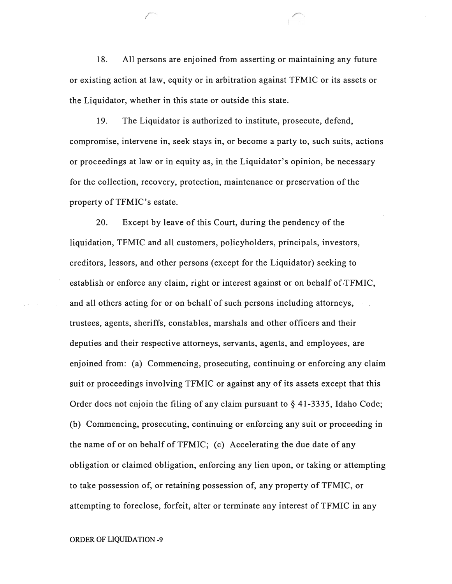18. All persons are enjoined from asserting or maintaining any future or existing action at law, equity or in arbitration against TFMIC or its assets or the Liquidator, whether in this state or outside this state.

r

19. The Liquidator is authorized to institute, prosecute, defend, compromise, intervene in, seek stays in, or become a party to, such suits, actions or proceedings at law or in equity as, in the Liquidator's opinion, be necessary for the collection, recovery, protection, maintenance or preservation of the property of TFMIC's estate.

20. Except by leave of this Court, during the pendency of the liquidation, TFMIC and all customers, policyholders, principals, investors, creditors, lessors, and other persons (except for the Liquidator) seeking to establish or enforce any claim, right or interest against or on behalf of  $TFMIC$ , and all others acting for or on behalf of such persons including attorneys, trustees, agents, sheriffs, constables, marshals and other officers and their deputies and their respective attorneys, servants, agents, and employees, are enjoined from: (a) Commencing, prosecuting, continuing or enforcing any claim suit or proceedings involving TFMIC or against any of its assets except that this Order does not enjoin the filing of any claim pursuant to § 41-3335, Idaho Code; (b) Commencing, prosecuting, continuing or enforcing any suit or proceeding in the name of or on behalf of TFMIC; (c) Accelerating the due date of any obligation or claimed obligation, enforcing any lien upon, or taking or attempting to take possession of, or retaining possession of, any property of TFMIC, or attempting to foreclose, forfeit, alter or terminate any interest of TFMIC in any

ORDER OF LIQUIDATION -9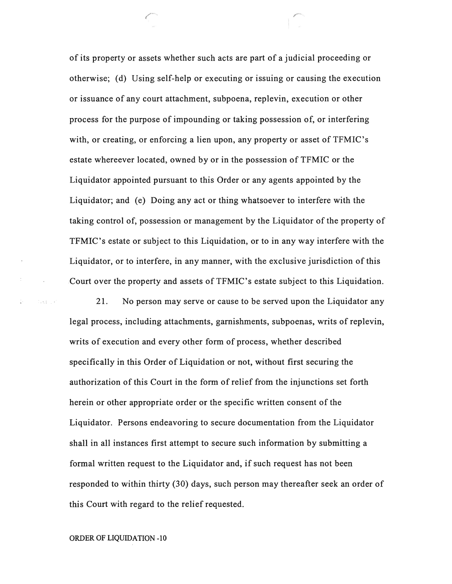of its property or assets whether such acts are part of a judicial proceeding or otherwise; (d) Using self-help or executing or issuing or causing the execution or issuance of any court attachment, subpoena, replevin, execution or other process for the purpose of impounding or taking possession of, or interfering with, or creating, or enforcing a lien upon, any property or asset of TFMIC's estate whereever located, owned by or in the possession of TFMIC or the Liquidator appointed pursuant to this Order or any agents appointed by the Liquidator; and (e) Doing any act or thing whatsoever to interfere with the taking control of, possession or management by the Liquidator of the property of TFMIC's estate or subject to this Liquidation, or to in any way interfere with the Liquidator, or to interfere, in any manner, with the exclusive jurisdiction of this Court over the property and assets of TFMIC's estate subject to this Liquidation.

21. No person may serve or cause to be served upon the Liquidator any legal process, including attachments, garnishments, subpoenas, writs of replevin, writs of execution and every other form of process, whether described specifically in this Order of Liquidation or not, without first securing the authorization of this Court in the form of relief from the injunctions set forth herein or other appropriate order or the specific written consent of the Liquidator. Persons endeavoring to secure documentation from the Liquidator shall in all instances first attempt to secure such information by submitting a formal written request to the Liquidator and, if such request has not been responded to within thirty (30) days, such person may thereafter seek an order of this Court with regard to the relief requested.

ORDER OF LIQUIDATION -10

. ... :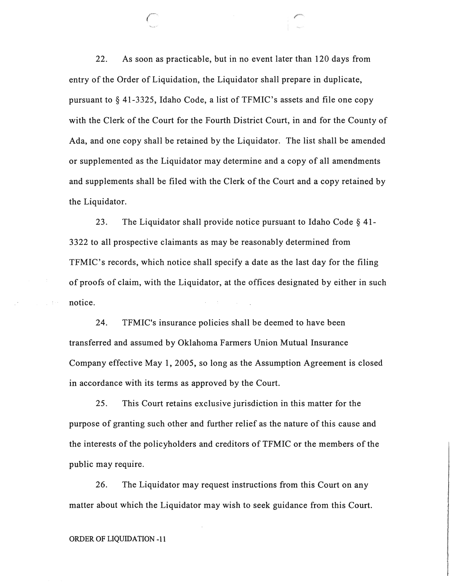22. As soon as practicable, but in no event later than 120 days from entry of the Order of Liquidation, the Liquidator shall prepare in duplicate, pursuant to § 41-3325, Idaho Code, a list of TFMIC's assets and file one copy with the Clerk of the Court for the Fourth District Court, in and for the County of Ada, and one copy shall be retained by the Liquidator. The list shall be amended or supplemented as the Liquidator may determine and a copy of all amendments and supplements shall be filed with the Clerk of the Court and a copy retained by the Liquidator.

23. The Liquidator shall provide notice pursuant to Idaho Code § 41- 3322 to all prospective claimants as may be reasonably determined from TFMIC's records, which notice shall specify a date as the last day for the filing of proofs of claim, with the Liquidator, at the offices designated by either in such notice.

24. TFMIC's insurance policies shall be deemed to have been transferred and assumed by Oklahoma Farmers Union Mutual Insurance Company effective May 1, 2005, so long as the Assumption Agreement is closed in accordance with its terms as approved by the Court.

25. This Court retains exclusive jurisdiction in this matter for the purpose of granting such other and further relief as the nature of this cause and the interests of the policyholders and creditors of TFMIC or the members of the public may require.

26. The Liquidator may request instructions from this Court on any matter about which the Liquidator may wish to seek guidance from this Court.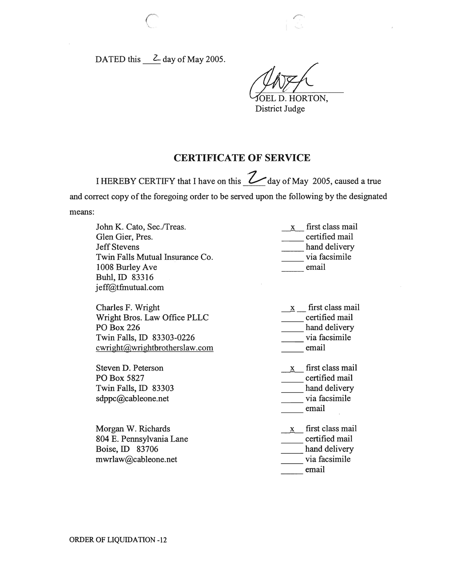DATED this  $\_\_$  day of May 2005.

OEL D. HORTON,

District Judge

# **CERTIFICATE OF SERVICE**

I HEREBY CERTIFY that I have on this <u>2</u> day of May 2005, caused a true and correct copy of the foregoing order to be served upon the following by the designated means:

| John K. Cato, Sec./Treas.<br>Glen Gier, Pres.<br><b>Jeff Stevens</b><br>Twin Falls Mutual Insurance Co.<br>1008 Burley Ave<br>Buhl, ID 83316<br>jeff@tfmutual.com | $\mathbf{x}$ | first class mail<br>certified mail<br>hand delivery<br>via facsimile<br>email |
|-------------------------------------------------------------------------------------------------------------------------------------------------------------------|--------------|-------------------------------------------------------------------------------|
| Charles F. Wright<br>Wright Bros. Law Office PLLC<br><b>PO Box 226</b><br>Twin Falls, ID 83303-0226<br>cwright@wrightbrotherslaw.com                              | $\mathbf{X}$ | first class mail<br>certified mail<br>hand delivery<br>via facsimile<br>email |
| Steven D. Peterson<br>PO Box 5827<br>Twin Falls, ID 83303<br>sdppc@cableone.net                                                                                   | $\mathbf{x}$ | first class mail<br>certified mail<br>hand delivery<br>via facsimile<br>email |
| Morgan W. Richards<br>804 E. Pennsylvania Lane<br>Boise, ID 83706<br>mwrlaw@cableone.net                                                                          | $\mathbf{X}$ | first class mail<br>certified mail<br>hand delivery<br>via facsimile<br>email |